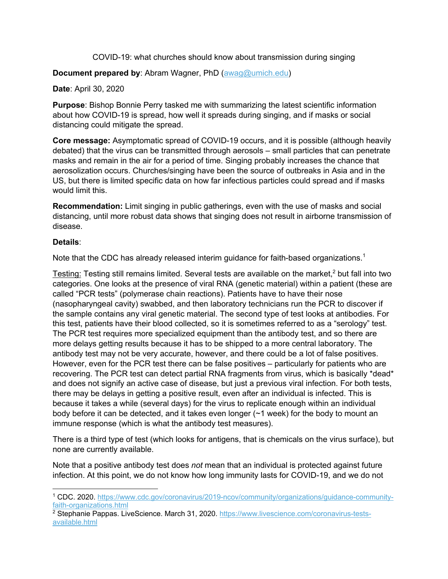COVID-19: what churches should know about transmission during singing

## **Document prepared by**: Abram Wagner, PhD (awag@umich.edu)

**Date**: April 30, 2020

**Purpose**: Bishop Bonnie Perry tasked me with summarizing the latest scientific information about how COVID-19 is spread, how well it spreads during singing, and if masks or social distancing could mitigate the spread.

**Core message:** Asymptomatic spread of COVID-19 occurs, and it is possible (although heavily debated) that the virus can be transmitted through aerosols – small particles that can penetrate masks and remain in the air for a period of time. Singing probably increases the chance that aerosolization occurs. Churches/singing have been the source of outbreaks in Asia and in the US, but there is limited specific data on how far infectious particles could spread and if masks would limit this.

**Recommendation:** Limit singing in public gatherings, even with the use of masks and social distancing, until more robust data shows that singing does not result in airborne transmission of disease.

## **Details**:

Note that the CDC has already released interim guidance for faith-based organizations.<sup>1</sup>

Testing: Testing still remains limited. Several tests are available on the market, $<sup>2</sup>$  but fall into two</sup> categories. One looks at the presence of viral RNA (genetic material) within a patient (these are called "PCR tests" (polymerase chain reactions). Patients have to have their nose (nasopharyngeal cavity) swabbed, and then laboratory technicians run the PCR to discover if the sample contains any viral genetic material. The second type of test looks at antibodies. For this test, patients have their blood collected, so it is sometimes referred to as a "serology" test. The PCR test requires more specialized equipment than the antibody test, and so there are more delays getting results because it has to be shipped to a more central laboratory. The antibody test may not be very accurate, however, and there could be a lot of false positives. However, even for the PCR test there can be false positives – particularly for patients who are recovering. The PCR test can detect partial RNA fragments from virus, which is basically \*dead\* and does not signify an active case of disease, but just a previous viral infection. For both tests, there may be delays in getting a positive result, even after an individual is infected. This is because it takes a while (several days) for the virus to replicate enough within an individual body before it can be detected, and it takes even longer (~1 week) for the body to mount an immune response (which is what the antibody test measures).

There is a third type of test (which looks for antigens, that is chemicals on the virus surface), but none are currently available.

Note that a positive antibody test does *not* mean that an individual is protected against future infection. At this point, we do not know how long immunity lasts for COVID-19, and we do not

<sup>1</sup> CDC. 2020. https://www.cdc.gov/coronavirus/2019-ncov/community/organizations/guidance-communityfaith-organizations.html

<sup>2</sup> Stephanie Pappas. LiveScience. March 31, 2020. https://www.livescience.com/coronavirus-testsavailable.html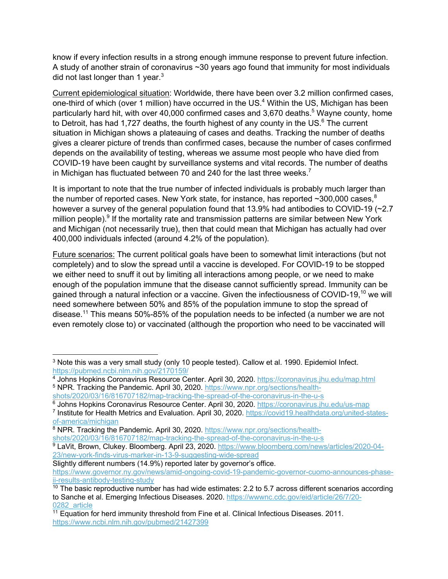know if every infection results in a strong enough immune response to prevent future infection. A study of another strain of coronavirus ~30 years ago found that immunity for most individuals did not last longer than 1 year. $3$ 

Current epidemiological situation: Worldwide, there have been over 3.2 million confirmed cases, one-third of which (over 1 million) have occurred in the US.<sup>4</sup> Within the US, Michigan has been particularly hard hit, with over 40,000 confirmed cases and 3,670 deaths.<sup>5</sup> Wayne county, home to Detroit, has had 1,727 deaths, the fourth highest of any county in the US. $6$  The current situation in Michigan shows a plateauing of cases and deaths. Tracking the number of deaths gives a clearer picture of trends than confirmed cases, because the number of cases confirmed depends on the availability of testing, whereas we assume most people who have died from COVID-19 have been caught by surveillance systems and vital records. The number of deaths in Michigan has fluctuated between 70 and 240 for the last three weeks.<sup>7</sup>

It is important to note that the true number of infected individuals is probably much larger than the number of reported cases. New York state, for instance, has reported  $\sim$ 300,000 cases, $8$ however a survey of the general population found that 13.9% had antibodies to COVID-19 (~2.7) million people).<sup>9</sup> If the mortality rate and transmission patterns are similar between New York and Michigan (not necessarily true), then that could mean that Michigan has actually had over 400,000 individuals infected (around 4.2% of the population).

Future scenarios: The current political goals have been to somewhat limit interactions (but not completely) and to slow the spread until a vaccine is developed. For COVID-19 to be stopped we either need to snuff it out by limiting all interactions among people, or we need to make enough of the population immune that the disease cannot sufficiently spread. Immunity can be gained through a natural infection or a vaccine. Given the infectiousness of COVID-19,<sup>10</sup> we will need somewhere between 50% and 85% of the population immune to stop the spread of disease.<sup>11</sup> This means 50%-85% of the population needs to be infected (a number we are not even remotely close to) or vaccinated (although the proportion who need to be vaccinated will

<sup>3</sup> Note this was a very small study (only 10 people tested). Callow et al. 1990. Epidemiol Infect. https://pubmed.ncbi.nlm.nih.gov/2170159/

<sup>4</sup> Johns Hopkins Coronavirus Resource Center. April 30, 2020. https://coronavirus.jhu.edu/map.html <sup>5</sup> NPR. Tracking the Pandemic. April 30, 2020. https://www.npr.org/sections/health-

shots/2020/03/16/816707182/map-tracking-the-spread-of-the-coronavirus-in-the-u-s

<sup>6</sup> Johns Hopkins Coronavirus Resource Center. April 30, 2020. https://coronavirus.jhu.edu/us-map

<sup>7</sup> Institute for Health Metrics and Evaluation. April 30, 2020. https://covid19.healthdata.org/united-statesof-america/michigan

<sup>&</sup>lt;sup>8</sup> NPR. Tracking the Pandemic. April 30, 2020. https://www.npr.org/sections/healthshots/2020/03/16/816707182/map-tracking-the-spread-of-the-coronavirus-in-the-u-s

<sup>9</sup> LaVit, Brown, Clukey. Bloomberg. April 23, 2020. https://www.bloomberg.com/news/articles/2020-04-23/new-york-finds-virus-marker-in-13-9-suggesting-wide-spread

Slightly different numbers (14.9%) reported later by governor's office.

https://www.governor.ny.gov/news/amid-ongoing-covid-19-pandemic-governor-cuomo-announces-phaseii-results-antibody-testing-study

 $10$  The basic reproductive number has had wide estimates: 2.2 to 5.7 across different scenarios according to Sanche et al. Emerging Infectious Diseases. 2020. https://wwwnc.cdc.gov/eid/article/26/7/20-0282\_article

<sup>&</sup>lt;sup>11</sup> Equation for herd immunity threshold from Fine et al. Clinical Infectious Diseases. 2011. https://www.ncbi.nlm.nih.gov/pubmed/21427399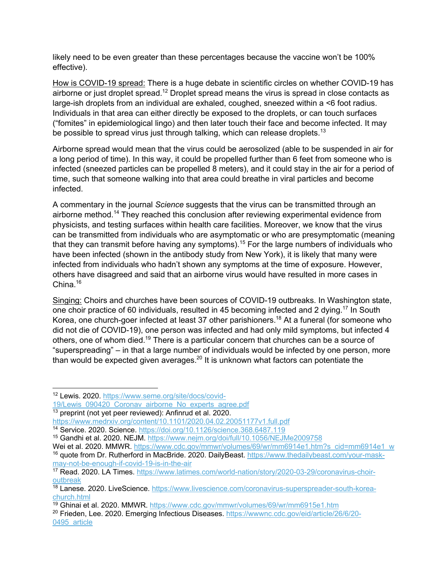likely need to be even greater than these percentages because the vaccine won't be 100% effective).

How is COVID-19 spread: There is a huge debate in scientific circles on whether COVID-19 has airborne or just droplet spread.<sup>12</sup> Droplet spread means the virus is spread in close contacts as large-ish droplets from an individual are exhaled, coughed, sneezed within a <6 foot radius. Individuals in that area can either directly be exposed to the droplets, or can touch surfaces ("fomites" in epidemiological lingo) and then later touch their face and become infected. It may be possible to spread virus just through talking, which can release droplets.<sup>13</sup>

Airborne spread would mean that the virus could be aerosolized (able to be suspended in air for a long period of time). In this way, it could be propelled further than 6 feet from someone who is infected (sneezed particles can be propelled 8 meters), and it could stay in the air for a period of time, such that someone walking into that area could breathe in viral particles and become infected.

A commentary in the journal *Science* suggests that the virus can be transmitted through an airborne method.<sup>14</sup> They reached this conclusion after reviewing experimental evidence from physicists, and testing surfaces within health care facilities. Moreover, we know that the virus can be transmitted from individuals who are asymptomatic or who are presymptomatic (meaning that they can transmit before having any symptoms).<sup>15</sup> For the large numbers of individuals who have been infected (shown in the antibody study from New York), it is likely that many were infected from individuals who hadn't shown any symptoms at the time of exposure. However, others have disagreed and said that an airborne virus would have resulted in more cases in China.<sup>16</sup>

Singing: Choirs and churches have been sources of COVID-19 outbreaks. In Washington state, one choir practice of 60 individuals, resulted in 45 becoming infected and 2 dying.17 In South Korea, one church-goer infected at least 37 other parishioners.<sup>18</sup> At a funeral (for someone who did not die of COVID-19), one person was infected and had only mild symptoms, but infected 4 others, one of whom died.<sup>19</sup> There is a particular concern that churches can be a source of "superspreading" – in that a large number of individuals would be infected by one person, more than would be expected given averages. $^{20}$  It is unknown what factors can potentiate the

<sup>12</sup> Lewis. 2020. https://www.seme.org/site/docs/covid-

<sup>19/</sup>Lewis\_090420\_Coronav\_airborne\_No\_experts\_agree.pdf

<sup>&</sup>lt;sup>13</sup> preprint (not yet peer reviewed): Anfinrud et al. 2020.

https://www.medrxiv.org/content/10.1101/2020.04.02.20051177v1.full.pdf<br><sup>14</sup> Service. 2020. Science. https://doi.org/10.1126/science.368.6487.119

<sup>&</sup>lt;sup>15</sup> Gandhi et al. 2020. NEJM. https://www.nejm.org/doi/full/10.1056/NEJMe2009758

Wei et al. 2020. MMWR. https://www.cdc.gov/mmwr/volumes/69/wr/mm6914e1.htm?s\_cid=mm6914e1\_w <sup>16</sup> quote from Dr. Rutherford in MacBride. 2020. DailyBeast. https://www.thedailybeast.com/your-maskmay-not-be-enough-if-covid-19-is-in-the-air

<sup>&</sup>lt;sup>17</sup> Read. 2020. LA Times. https://www.latimes.com/world-nation/story/2020-03-29/coronavirus-choiroutbreak

<sup>&</sup>lt;sup>18</sup> Lanese. 2020. LiveScience. https://www.livescience.com/coronavirus-superspreader-south-koreachurch.html

<sup>19</sup> Ghinai et al. 2020. MMWR. https://www.cdc.gov/mmwr/volumes/69/wr/mm6915e1.htm

<sup>&</sup>lt;sup>20</sup> Frieden, Lee. 2020. Emerging Infectious Diseases. https://wwwnc.cdc.gov/eid/article/26/6/20-0495 article